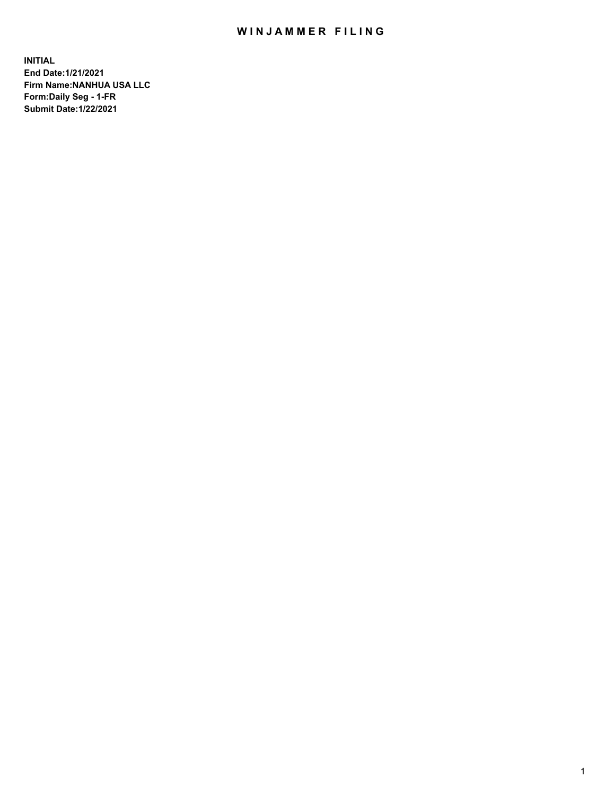# WIN JAMMER FILING

**INITIAL End Date:1/21/2021 Firm Name:NANHUA USA LLC Form:Daily Seg - 1-FR Submit Date:1/22/2021**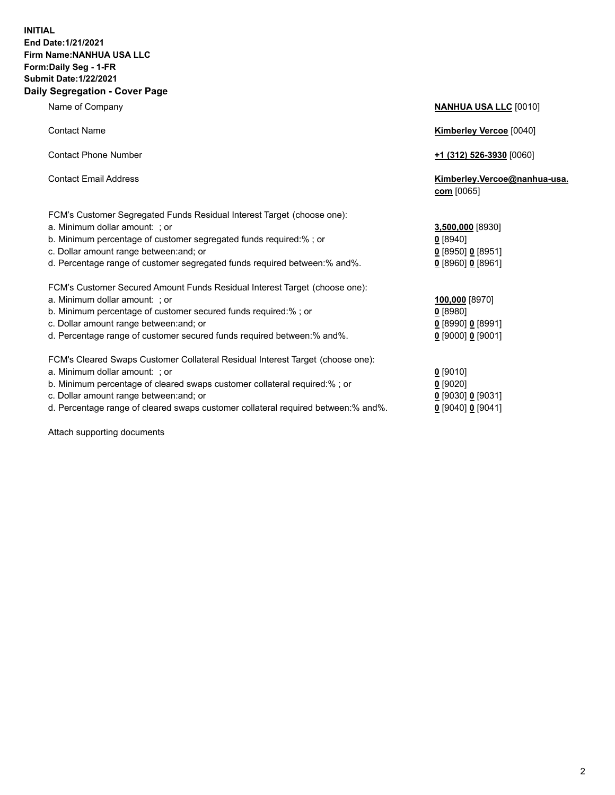### **INITIAL End Date:1/21/2021 Firm Name:NANHUA USA LLC Form:Daily Seg - 1-FR Submit Date:1/22/2021 Daily Segregation - Cover Page**

Name of Company **NANHUA USA LLC** [0010] Contact Name **Kimberley Vercoe** [0040] Contact Phone Number **+1 (312) 526-3930** [0060] Contact Email Address **Kimberley.Vercoe@nanhua-usa. com** [0065] FCM's Customer Segregated Funds Residual Interest Target (choose one): a. Minimum dollar amount: ; or **3,500,000** [8930] b. Minimum percentage of customer segregated funds required:% ; or **0** [8940] c. Dollar amount range between:and; or **0** [8950] **0** [8951] d. Percentage range of customer segregated funds required between:% and%. **0** [8960] **0** [8961] FCM's Customer Secured Amount Funds Residual Interest Target (choose one): a. Minimum dollar amount: ; or **100,000** [8970] b. Minimum percentage of customer secured funds required:% ; or **0** [8980] c. Dollar amount range between:and; or **0** [8990] **0** [8991] d. Percentage range of customer secured funds required between:% and%. **0** [9000] **0** [9001] FCM's Cleared Swaps Customer Collateral Residual Interest Target (choose one): a. Minimum dollar amount: ; or **0** [9010] b. Minimum percentage of cleared swaps customer collateral required:% ; or **0** [9020] c. Dollar amount range between:and; or **0** [9030] **0** [9031]

d. Percentage range of cleared swaps customer collateral required between:% and%. **0** [9040] **0** [9041]

Attach supporting documents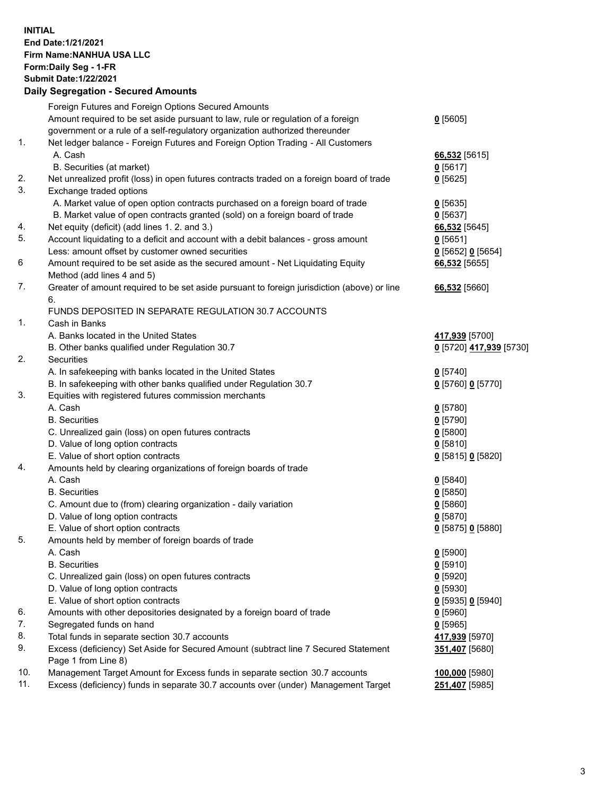## **INITIAL End Date:1/21/2021 Firm Name:NANHUA USA LLC Form:Daily Seg - 1-FR Submit Date:1/22/2021 Daily Segregation - Secured Amounts**

|     | Foreign Futures and Foreign Options Secured Amounts                                               |                         |
|-----|---------------------------------------------------------------------------------------------------|-------------------------|
|     | Amount required to be set aside pursuant to law, rule or regulation of a foreign                  | $0$ [5605]              |
|     | government or a rule of a self-regulatory organization authorized thereunder                      |                         |
| 1.  | Net ledger balance - Foreign Futures and Foreign Option Trading - All Customers                   |                         |
|     | A. Cash                                                                                           | 66,532 [5615]           |
|     | B. Securities (at market)                                                                         | $0$ [5617]              |
| 2.  | Net unrealized profit (loss) in open futures contracts traded on a foreign board of trade         | $0$ [5625]              |
| 3.  | Exchange traded options                                                                           |                         |
|     | A. Market value of open option contracts purchased on a foreign board of trade                    | $Q$ [5635]              |
|     | B. Market value of open contracts granted (sold) on a foreign board of trade                      | $0$ [5637]              |
| 4.  | Net equity (deficit) (add lines 1.2. and 3.)                                                      | 66,532 [5645]           |
| 5.  | Account liquidating to a deficit and account with a debit balances - gross amount                 | $0$ [5651]              |
|     | Less: amount offset by customer owned securities                                                  | 0 [5652] 0 [5654]       |
| 6   | Amount required to be set aside as the secured amount - Net Liquidating Equity                    | 66,532 [5655]           |
|     | Method (add lines 4 and 5)                                                                        |                         |
| 7.  | Greater of amount required to be set aside pursuant to foreign jurisdiction (above) or line<br>6. | 66,532 [5660]           |
|     | FUNDS DEPOSITED IN SEPARATE REGULATION 30.7 ACCOUNTS                                              |                         |
| 1.  | Cash in Banks                                                                                     |                         |
|     | A. Banks located in the United States                                                             | 417,939 [5700]          |
|     | B. Other banks qualified under Regulation 30.7                                                    | 0 [5720] 417,939 [5730] |
| 2.  | Securities                                                                                        |                         |
|     | A. In safekeeping with banks located in the United States                                         | $0$ [5740]              |
|     | B. In safekeeping with other banks qualified under Regulation 30.7                                | 0 [5760] 0 [5770]       |
| 3.  | Equities with registered futures commission merchants                                             |                         |
|     | A. Cash                                                                                           | $0$ [5780]              |
|     | <b>B.</b> Securities                                                                              | $0$ [5790]              |
|     | C. Unrealized gain (loss) on open futures contracts                                               | $0$ [5800]              |
|     | D. Value of long option contracts                                                                 | $0$ [5810]              |
|     | E. Value of short option contracts                                                                | 0 [5815] 0 [5820]       |
| 4.  | Amounts held by clearing organizations of foreign boards of trade                                 |                         |
|     | A. Cash                                                                                           | $0$ [5840]              |
|     | <b>B.</b> Securities                                                                              | $0$ [5850]              |
|     | C. Amount due to (from) clearing organization - daily variation                                   | 0[5860]                 |
|     | D. Value of long option contracts                                                                 | $0$ [5870]              |
|     | E. Value of short option contracts                                                                | 0 [5875] 0 [5880]       |
| 5.  | Amounts held by member of foreign boards of trade                                                 |                         |
|     | A. Cash                                                                                           | $0$ [5900]              |
|     | <b>B.</b> Securities                                                                              | $0$ [5910]              |
|     | C. Unrealized gain (loss) on open futures contracts                                               | $0$ [5920]              |
|     | D. Value of long option contracts                                                                 | $0$ [5930]              |
|     | E. Value of short option contracts                                                                | 0 [5935] 0 [5940]       |
| 6.  | Amounts with other depositories designated by a foreign board of trade                            | $0$ [5960]              |
| 7.  | Segregated funds on hand                                                                          | $0$ [5965]              |
| 8.  | Total funds in separate section 30.7 accounts                                                     | 417,939 [5970]          |
| 9.  | Excess (deficiency) Set Aside for Secured Amount (subtract line 7 Secured Statement               | 351,407 [5680]          |
|     | Page 1 from Line 8)                                                                               |                         |
| 10. | Management Target Amount for Excess funds in separate section 30.7 accounts                       | 100,000 [5980]          |
| 11. | Excess (deficiency) funds in separate 30.7 accounts over (under) Management Target                | 251,407 [5985]          |
|     |                                                                                                   |                         |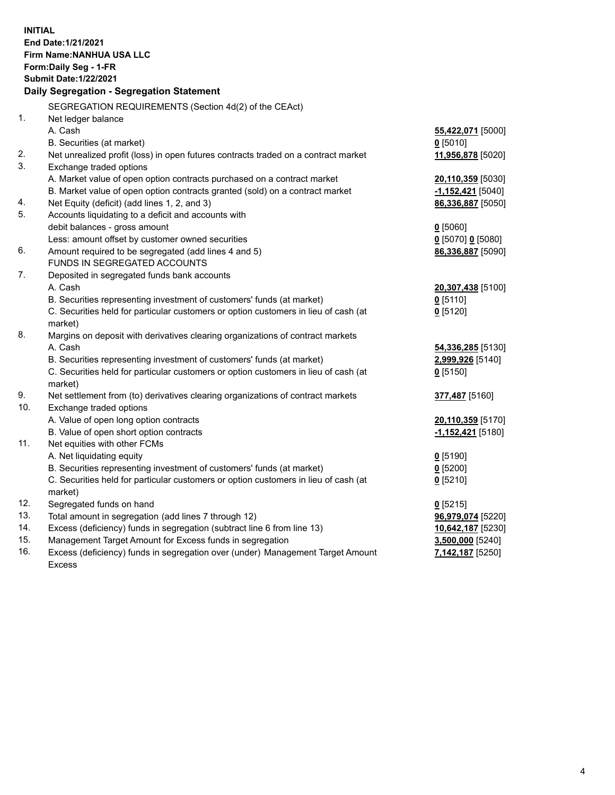| <b>INITIAL</b><br>End Date: 1/21/2021<br>Firm Name: NANHUA USA LLC<br>Form: Daily Seg - 1-FR<br><b>Submit Date: 1/22/2021</b><br>Daily Segregation - Segregation Statement |                                                                                      |                          |  |  |
|----------------------------------------------------------------------------------------------------------------------------------------------------------------------------|--------------------------------------------------------------------------------------|--------------------------|--|--|
|                                                                                                                                                                            | SEGREGATION REQUIREMENTS (Section 4d(2) of the CEAct)                                |                          |  |  |
| 1.                                                                                                                                                                         | Net ledger balance                                                                   |                          |  |  |
|                                                                                                                                                                            | A. Cash                                                                              | 55,422,071 [5000]        |  |  |
|                                                                                                                                                                            | B. Securities (at market)                                                            | $0$ [5010]               |  |  |
| 2.                                                                                                                                                                         | Net unrealized profit (loss) in open futures contracts traded on a contract market   | 11,956,878 [5020]        |  |  |
| 3.                                                                                                                                                                         | Exchange traded options                                                              |                          |  |  |
|                                                                                                                                                                            | A. Market value of open option contracts purchased on a contract market              | 20,110,359 [5030]        |  |  |
|                                                                                                                                                                            | B. Market value of open option contracts granted (sold) on a contract market         | <u>-1,152,421</u> [5040] |  |  |
| 4.                                                                                                                                                                         | Net Equity (deficit) (add lines 1, 2, and 3)                                         | 86,336,887 [5050]        |  |  |
| 5.                                                                                                                                                                         | Accounts liquidating to a deficit and accounts with                                  |                          |  |  |
|                                                                                                                                                                            | debit balances - gross amount                                                        | $0$ [5060]               |  |  |
| 6.                                                                                                                                                                         | Less: amount offset by customer owned securities                                     | 0 [5070] 0 [5080]        |  |  |
|                                                                                                                                                                            | Amount required to be segregated (add lines 4 and 5)<br>FUNDS IN SEGREGATED ACCOUNTS | 86,336,887 [5090]        |  |  |
| 7.                                                                                                                                                                         | Deposited in segregated funds bank accounts                                          |                          |  |  |
|                                                                                                                                                                            | A. Cash                                                                              | 20,307,438 [5100]        |  |  |
|                                                                                                                                                                            | B. Securities representing investment of customers' funds (at market)                | $0$ [5110]               |  |  |
|                                                                                                                                                                            | C. Securities held for particular customers or option customers in lieu of cash (at  | $0$ [5120]               |  |  |
|                                                                                                                                                                            | market)                                                                              |                          |  |  |
| 8.                                                                                                                                                                         | Margins on deposit with derivatives clearing organizations of contract markets       |                          |  |  |
|                                                                                                                                                                            | A. Cash                                                                              | <b>54,336,285</b> [5130] |  |  |
|                                                                                                                                                                            | B. Securities representing investment of customers' funds (at market)                | 2,999,926 [5140]         |  |  |
|                                                                                                                                                                            | C. Securities held for particular customers or option customers in lieu of cash (at  | $0$ [5150]               |  |  |
|                                                                                                                                                                            | market)                                                                              |                          |  |  |
| 9.                                                                                                                                                                         | Net settlement from (to) derivatives clearing organizations of contract markets      | 377,487 [5160]           |  |  |
| 10.                                                                                                                                                                        | Exchange traded options                                                              |                          |  |  |
|                                                                                                                                                                            | A. Value of open long option contracts                                               | 20,110,359 [5170]        |  |  |
|                                                                                                                                                                            | B. Value of open short option contracts                                              | -1,152,421 [5180]        |  |  |
| 11.                                                                                                                                                                        | Net equities with other FCMs                                                         |                          |  |  |
|                                                                                                                                                                            | A. Net liquidating equity                                                            | $0$ [5190]               |  |  |
|                                                                                                                                                                            | B. Securities representing investment of customers' funds (at market)                | $0$ [5200]               |  |  |
|                                                                                                                                                                            | C. Securities held for particular customers or option customers in lieu of cash (at  | $0$ [5210]               |  |  |
|                                                                                                                                                                            | market)                                                                              |                          |  |  |
| 12.                                                                                                                                                                        | Segregated funds on hand                                                             | $0$ [5215]               |  |  |
| 13.                                                                                                                                                                        | Total amount in segregation (add lines 7 through 12)                                 | 96,979,074 [5220]        |  |  |
| 14.                                                                                                                                                                        | Excess (deficiency) funds in segregation (subtract line 6 from line 13)              | 10,642,187 [5230]        |  |  |
| 15.                                                                                                                                                                        | Management Target Amount for Excess funds in segregation                             | 3,500,000 [5240]         |  |  |
| 16.                                                                                                                                                                        | Excess (deficiency) funds in segregation over (under) Management Target Amount       | 7,142,187 [5250]         |  |  |
|                                                                                                                                                                            | <b>Excess</b>                                                                        |                          |  |  |